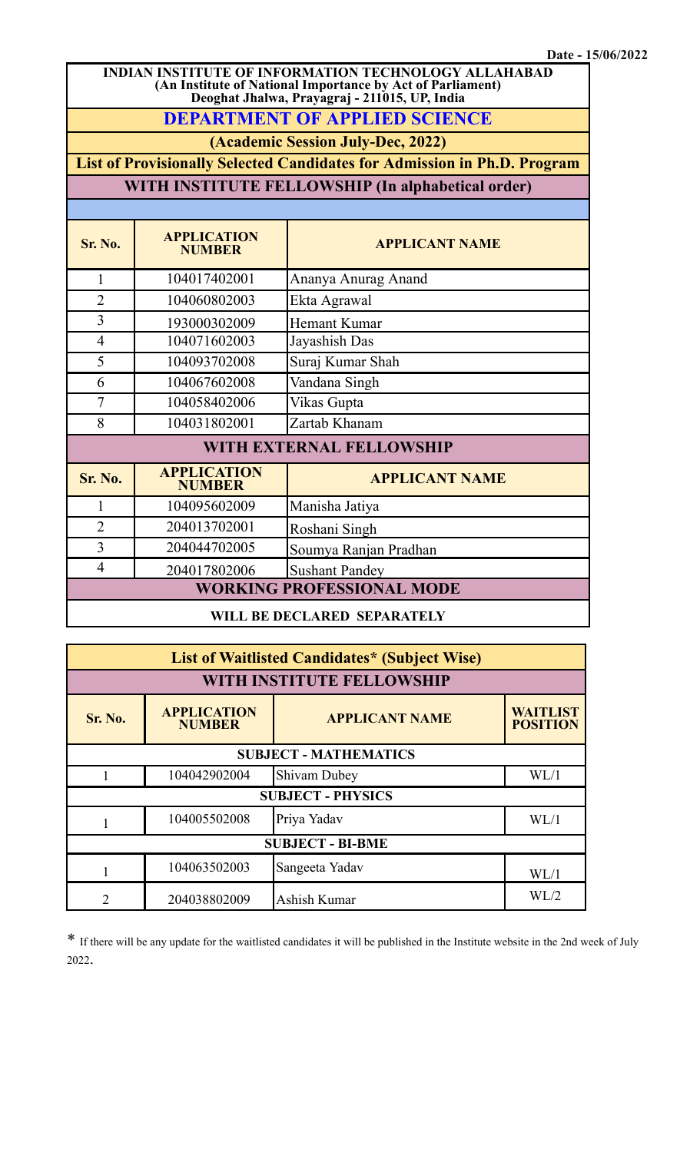**INDIAN INSTITUTE OF INFORMATION TECHNOLOGY ALLAHABAD (An Institute of National Importance by Act of Parliament) Deoghat Jhalwa, Prayagraj - 211015, UP, India**

**DEPARTMENT OF APPLIED SCIENCE**

**(Academic Session July-Dec, 2022)**

**List of Provisionally Selected Candidates for Admission in Ph.D. Program**

**WITH INSTITUTE FELLOWSHIP (In alphabetical order)**

| Sr. No.                          | <b>APPLICATION</b><br><b>NUMBER</b> | <b>APPLICANT NAME</b> |  |  |
|----------------------------------|-------------------------------------|-----------------------|--|--|
| 1                                | 104017402001                        | Ananya Anurag Anand   |  |  |
| $\overline{2}$                   | 104060802003                        | Ekta Agrawal          |  |  |
| 3                                | 193000302009                        | <b>Hemant Kumar</b>   |  |  |
| $\overline{4}$                   | 104071602003                        | Jayashish Das         |  |  |
| 5                                | 104093702008                        | Suraj Kumar Shah      |  |  |
| 6                                | 104067602008                        | Vandana Singh         |  |  |
| 7                                | 104058402006                        | Vikas Gupta           |  |  |
| 8                                | 104031802001                        | Zartab Khanam         |  |  |
| WITH EXTERNAL FELLOWSHIP         |                                     |                       |  |  |
| <b>Sr. No.</b>                   | <b>APPLICATION</b><br><b>NUMBER</b> | <b>APPLICANT NAME</b> |  |  |
| 1                                | 104095602009                        | Manisha Jatiya        |  |  |
| $\overline{2}$                   | 204013702001                        | Roshani Singh         |  |  |
| 3                                | 204044702005                        | Soumya Ranjan Pradhan |  |  |
| $\overline{4}$                   | 204017802006                        | <b>Sushant Pandey</b> |  |  |
| <b>WORKING PROFESSIONAL MODE</b> |                                     |                       |  |  |

**WILL BE DECLARED SEPARATELY**

| List of Waitlisted Candidates* (Subject Wise) |                                     |                       |                             |  |  |
|-----------------------------------------------|-------------------------------------|-----------------------|-----------------------------|--|--|
| WITH INSTITUTE FELLOWSHIP                     |                                     |                       |                             |  |  |
| Sr. No.                                       | <b>APPLICATION</b><br><b>NUMBER</b> | <b>APPLICANT NAME</b> | WAITLIST<br><b>POSITION</b> |  |  |
| <b>SUBJECT - MATHEMATICS</b>                  |                                     |                       |                             |  |  |
|                                               | 104042902004                        | <b>Shivam Dubey</b>   | WL/1                        |  |  |
| <b>SUBJECT - PHYSICS</b>                      |                                     |                       |                             |  |  |
|                                               | 104005502008                        | Priya Yadav           | WL/1                        |  |  |
| <b>SUBJECT - BI-BME</b>                       |                                     |                       |                             |  |  |
|                                               | 104063502003                        | Sangeeta Yadav        | WL/1                        |  |  |
| າ                                             | 204038802009                        | Ashish Kumar          | WL/2                        |  |  |

\* If there will be any update for the waitlisted candidates it will be published in the Institute website in the 2nd week of July 2022.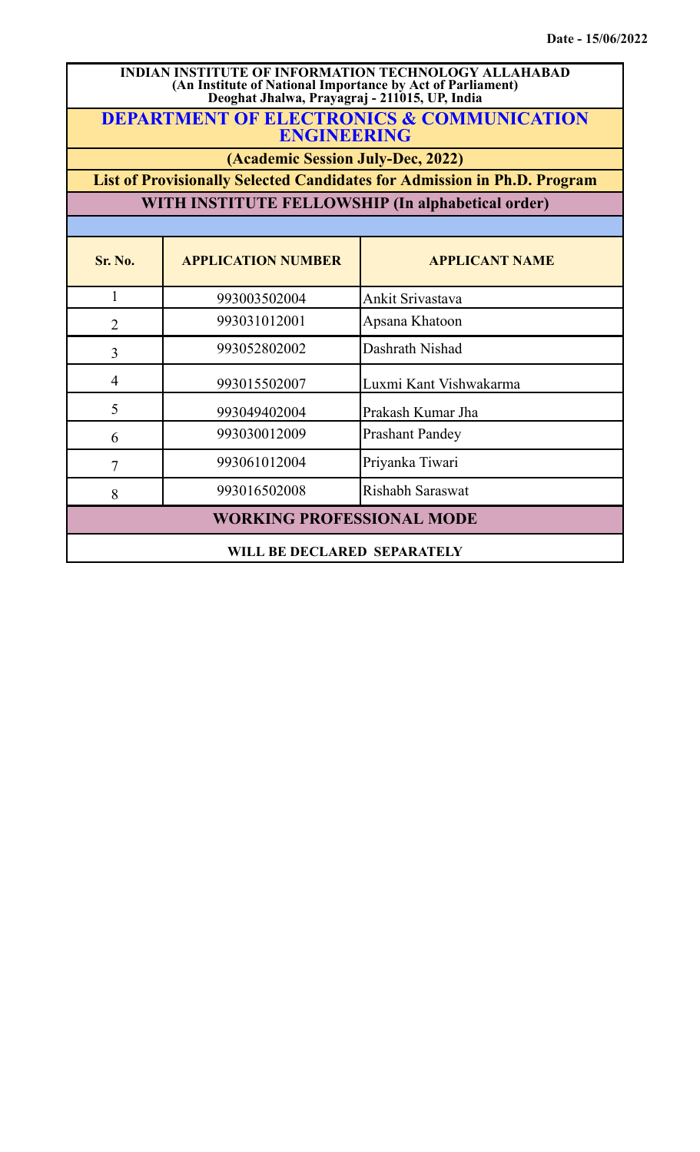## **INDIAN INSTITUTE OF INFORMATION TECHNOLOGY ALLAHABAD (An Institute of National Importance by Act of Parliament) Deoghat Jhalwa, Prayagraj - 211015, UP, India**

**DEPARTMENT OF ELECTRONICS & COMMUNICATION ENGINEERING**

**(Academic Session July-Dec, 2022)**

**List of Provisionally Selected Candidates for Admission in Ph.D. Program**

**WITH INSTITUTE FELLOWSHIP (In alphabetical order)**

| Sr. No.                          | <b>APPLICATION NUMBER</b> | <b>APPLICANT NAME</b>   |
|----------------------------------|---------------------------|-------------------------|
|                                  | 993003502004              | Ankit Srivastava        |
| $\overline{2}$                   | 993031012001              | Apsana Khatoon          |
| 3                                | 993052802002              | Dashrath Nishad         |
| $\overline{4}$                   | 993015502007              | Luxmi Kant Vishwakarma  |
| 5                                | 993049402004              | Prakash Kumar Jha       |
| 6                                | 993030012009              | <b>Prashant Pandey</b>  |
| 7                                | 993061012004              | Priyanka Tiwari         |
| 8                                | 993016502008              | <b>Rishabh Saraswat</b> |
| <b>WORKING PROFESSIONAL MODE</b> |                           |                         |
| WILL BE DECLARED SEPARATELY      |                           |                         |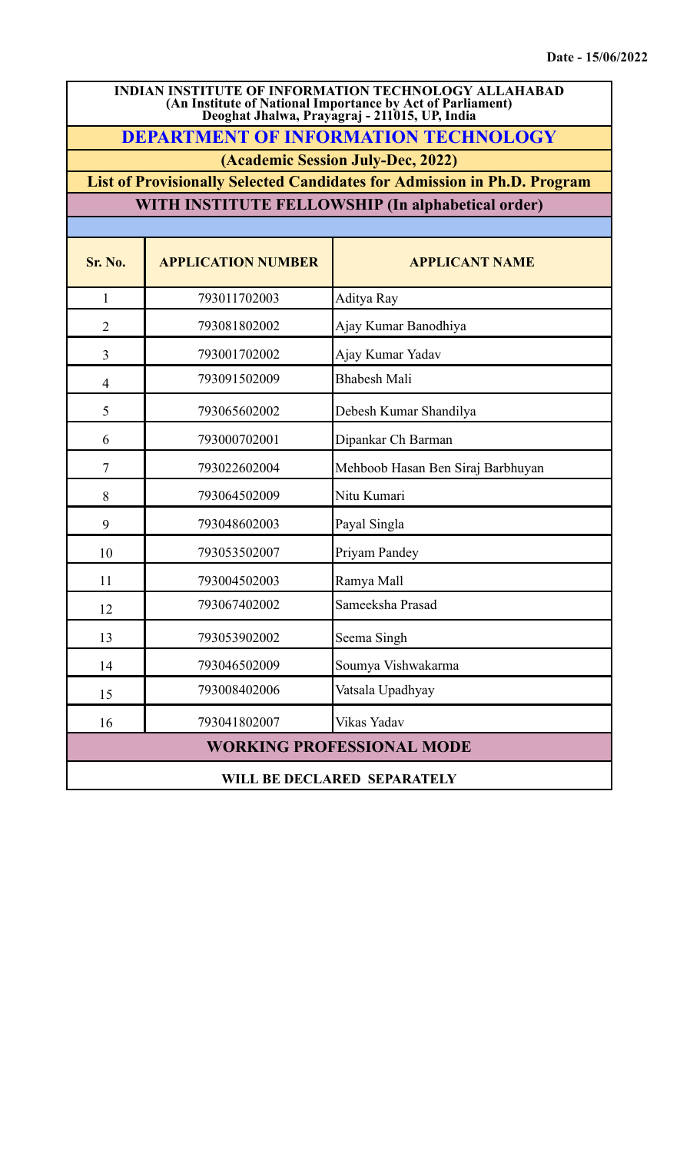| <b>INDIAN INSTITUTE OF INFORMATION TECHNOLOGY ALLAHABAD</b><br>(An Institute of National Importance by Act of Parliament)<br>Deoghat Jhalwa, Prayagraj - 211015, UP, India |                                                                                 |                                                   |  |  |  |  |
|----------------------------------------------------------------------------------------------------------------------------------------------------------------------------|---------------------------------------------------------------------------------|---------------------------------------------------|--|--|--|--|
|                                                                                                                                                                            | <b>DEPARTMENT OF INFORMATION TECHNOLOGY</b>                                     |                                                   |  |  |  |  |
|                                                                                                                                                                            | (Academic Session July-Dec, 2022)                                               |                                                   |  |  |  |  |
|                                                                                                                                                                            | <b>List of Provisionally Selected Candidates for Admission in Ph.D. Program</b> |                                                   |  |  |  |  |
|                                                                                                                                                                            |                                                                                 | WITH INSTITUTE FELLOWSHIP (In alphabetical order) |  |  |  |  |
| Sr. No.                                                                                                                                                                    | <b>APPLICATION NUMBER</b>                                                       | <b>APPLICANT NAME</b>                             |  |  |  |  |
| $\mathbf{1}$                                                                                                                                                               | 793011702003                                                                    | Aditya Ray                                        |  |  |  |  |
| $\overline{2}$                                                                                                                                                             | 793081802002                                                                    | Ajay Kumar Banodhiya                              |  |  |  |  |
| 3                                                                                                                                                                          | 793001702002                                                                    | Ajay Kumar Yadav                                  |  |  |  |  |
| $\overline{4}$                                                                                                                                                             | 793091502009                                                                    | <b>Bhabesh Mali</b>                               |  |  |  |  |
| 5                                                                                                                                                                          | 793065602002                                                                    | Debesh Kumar Shandilya                            |  |  |  |  |
| 6                                                                                                                                                                          | 793000702001                                                                    | Dipankar Ch Barman                                |  |  |  |  |
| $\tau$                                                                                                                                                                     | 793022602004                                                                    | Mehboob Hasan Ben Siraj Barbhuyan                 |  |  |  |  |
| 8                                                                                                                                                                          | 793064502009                                                                    | Nitu Kumari                                       |  |  |  |  |
| 9                                                                                                                                                                          | 793048602003                                                                    | Payal Singla                                      |  |  |  |  |
| 10                                                                                                                                                                         | 793053502007                                                                    | Priyam Pandey                                     |  |  |  |  |
| 11                                                                                                                                                                         | 793004502003                                                                    | Ramya Mall                                        |  |  |  |  |
| 12                                                                                                                                                                         | 793067402002                                                                    | Sameeksha Prasad                                  |  |  |  |  |
| 13                                                                                                                                                                         | 793053902002                                                                    | Seema Singh                                       |  |  |  |  |
| 14                                                                                                                                                                         | 793046502009                                                                    | Soumya Vishwakarma                                |  |  |  |  |
| 15                                                                                                                                                                         | 793008402006                                                                    | Vatsala Upadhyay                                  |  |  |  |  |
| 16                                                                                                                                                                         | 793041802007                                                                    | Vikas Yadav                                       |  |  |  |  |
| <b>WORKING PROFESSIONAL MODE</b>                                                                                                                                           |                                                                                 |                                                   |  |  |  |  |
| WILL BE DECLARED SEPARATELY                                                                                                                                                |                                                                                 |                                                   |  |  |  |  |